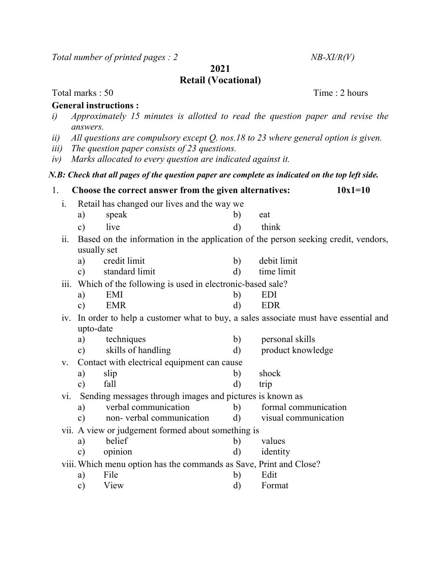Total number of printed pages :  $2$  NB-XI/R(V)

2021

## Retail (Vocational)

Total marks : 50 Time : 2 hours

## General instructions :

- i) Approximately 15 minutes is allotted to read the question paper and revise the answers.
- ii) All questions are compulsory except  $Q$ . nos.18 to 23 where general option is given.
- iii) The question paper consists of 23 questions.
- iv) Marks allocated to every question are indicated against it.

## N.B: Check that all pages of the question paper are complete as indicated on the top left side.

| 1.                                                           |                                                                                                   | Choose the correct answer from the given alternatives:   | $10x1=10$                |                                              |  |  |  |
|--------------------------------------------------------------|---------------------------------------------------------------------------------------------------|----------------------------------------------------------|--------------------------|----------------------------------------------|--|--|--|
| i.                                                           | Retail has changed our lives and the way we                                                       |                                                          |                          |                                              |  |  |  |
|                                                              | a)                                                                                                | speak                                                    | b)                       | eat                                          |  |  |  |
|                                                              | $\mathbf{c})$                                                                                     | live                                                     | d)                       | think                                        |  |  |  |
| ii.                                                          | Based on the information in the application of the person seeking credit, vendors,<br>usually set |                                                          |                          |                                              |  |  |  |
|                                                              |                                                                                                   |                                                          |                          |                                              |  |  |  |
|                                                              | a)                                                                                                | credit limit                                             | b)                       | debit limit                                  |  |  |  |
|                                                              | $\mathbf{c})$                                                                                     | standard limit                                           | $\mathbf{d}$             | time limit                                   |  |  |  |
| iii.                                                         | Which of the following is used in electronic-based sale?                                          |                                                          |                          |                                              |  |  |  |
|                                                              | a)                                                                                                | <b>EMI</b>                                               | $\mathbf{b}$             | <b>EDI</b>                                   |  |  |  |
|                                                              | $\mathbf{c})$                                                                                     | <b>EMR</b>                                               | $\rm d)$                 | <b>EDR</b>                                   |  |  |  |
|                                                              | In order to help a customer what to buy, a sales associate must have essential and<br>1V.         |                                                          |                          |                                              |  |  |  |
|                                                              | upto-date                                                                                         |                                                          |                          |                                              |  |  |  |
|                                                              | a)                                                                                                | techniques                                               | b)                       | personal skills                              |  |  |  |
|                                                              | $\mathbf{c})$                                                                                     | skills of handling                                       | $\mathbf{d}$             | product knowledge                            |  |  |  |
| V.                                                           | Contact with electrical equipment can cause                                                       |                                                          |                          |                                              |  |  |  |
|                                                              | a)                                                                                                | slip                                                     | b)                       | shock                                        |  |  |  |
|                                                              | $\mathbf{c})$                                                                                     | fall                                                     | $\rm d$                  | trip                                         |  |  |  |
| vi.                                                          |                                                                                                   | Sending messages through images and pictures is known as |                          |                                              |  |  |  |
|                                                              | a)                                                                                                | verbal communication                                     | b)                       | formal communication<br>visual communication |  |  |  |
|                                                              | $\mathbf{c})$                                                                                     | non-verbal communication                                 | d)                       |                                              |  |  |  |
| vii. A view or judgement formed about something is<br>belief |                                                                                                   |                                                          |                          |                                              |  |  |  |
|                                                              | a)                                                                                                |                                                          | $\mathbf{b}$<br>$\rm d)$ | values<br>identity                           |  |  |  |
|                                                              | opinion<br>$\mathbf{c})$                                                                          |                                                          |                          |                                              |  |  |  |
|                                                              | viii. Which menu option has the commands as Save, Print and Close?<br>File<br>Edit                |                                                          |                          |                                              |  |  |  |
|                                                              | a)<br>c)                                                                                          | View                                                     | $\mathbf{b}$<br>d)       | Format                                       |  |  |  |
|                                                              |                                                                                                   |                                                          |                          |                                              |  |  |  |